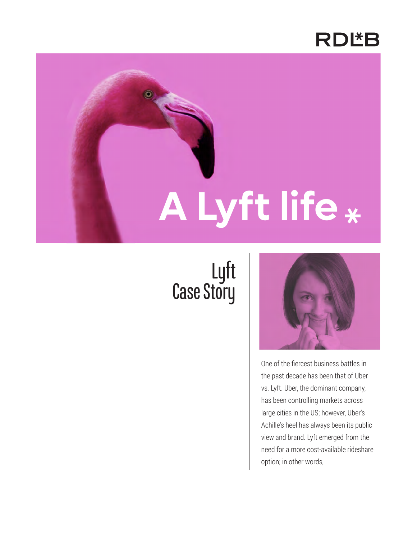

# **A Lyft life**

# Lyft Case Story



One of the fiercest business battles in the past decade has been that of Uber vs. Lyft. Uber, the dominant company, has been controlling markets across large cities in the US; however, Uber's Achille's heel has always been its public view and brand. Lyft emerged from the need for a more cost-available rideshare option; in other words,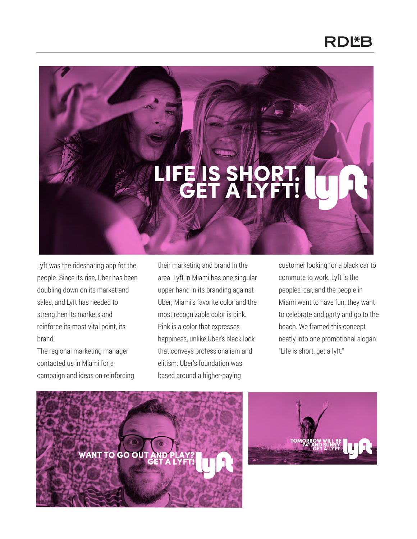### **RDL\*B**

## 탈리

Lyft was the ridesharing app for the people. Since its rise, Uber has been doubling down on its market and sales, and Lyft has needed to strengthen its markets and reinforce its most vital point, its brand.

The regional marketing manager contacted us in Miami for a campaign and ideas on reinforcing their marketing and brand in the area. Lyft in Miami has one singular upper hand in its branding against Uber; Miami's favorite color and the most recognizable color is pink. Pink is a color that expresses happiness, unlike Uber's black look that conveys professionalism and elitism. Uber's foundation was based around a higher-paying

customer looking for a black car to commute to work. Lyft is the peoples' car, and the people in Miami want to have fun; they want to celebrate and party and go to the beach. We framed this concept neatly into one promotional slogan "Life is short, get a lyft."



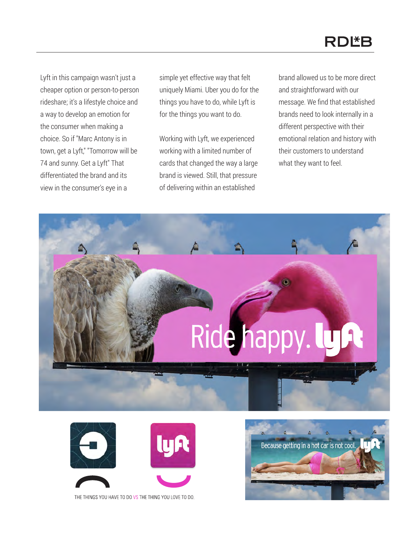### **RDLB**

Lyft in this campaign wasn't just a cheaper option or person-to-person rideshare; it's a lifestyle choice and a way to develop an emotion for the consumer when making a choice. So if "Marc Antony is in town, get a Lyft," "Tomorrow will be 74 and sunny. Get a Lyft" That differentiated the brand and its view in the consumer's eye in a

simple yet effective way that felt uniquely Miami. Uber you do for the things you have to do, while Lyft is for the things you want to do.

Working with Lyft, we experienced working with a limited number of cards that changed the way a large brand is viewed. Still, that pressure of delivering within an established

brand allowed us to be more direct and straightforward with our message. We find that established brands need to look internally in a different perspective with their emotional relation and history with their customers to understand what they want to feel.









THE THINGS YOU HAVE TO DO VS THE THING YOU LOVE TO DO.